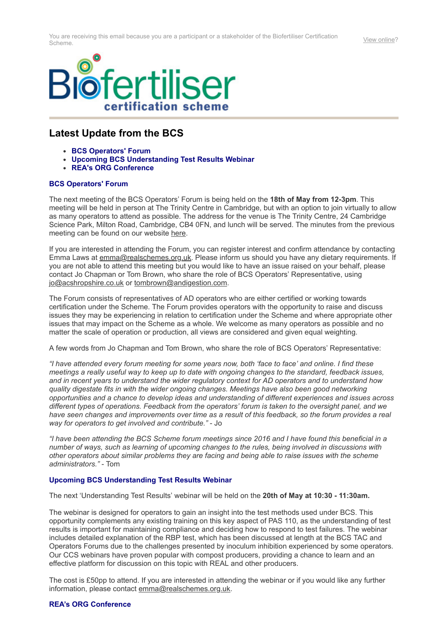

## **Latest Update from the BCS**

- **BCS Operators' Forum**
- **Upcoming BCS Understanding Test Results Webinar**
- **REA's ORG Conference**

## **BCS Operators' Forum**

The next meeting of the BCS Operators' Forum is being held on the **18th of May from 12-3pm**. This meeting will be held in person at The Trinity Centre in Cambridge, but with an option to join virtually to allow as many operators to attend as possible. The address for the venue is The Trinity Centre, 24 Cambridge Science Park, Milton Road, Cambridge, CB4 0FN, and lunch will be served. The minutes from the previous meeting can be found on our website [here](https://email.sav.co.uk/t/r-l-tyftttd-l-t/).

If you are interested in attending the Forum, you can register interest and confirm attendance by contacting Emma Laws at [emma@realschemes.org.uk.](mailto:emma@realschemes.org.uk) Please inform us should you have any dietary requirements. If you are not able to attend this meeting but you would like to have an issue raised on your behalf, please contact Jo Chapman or Tom Brown, who share the role of BCS Operators' Representative, using [jo@acshropshire.co.uk](https://email.sav.co.uk/t/r-l-tyftttd-l-i/) or [tombrown@andigestion.com.](https://email.sav.co.uk/t/r-l-tyftttd-l-d/)

The Forum consists of representatives of AD operators who are either certified or working towards certification under the Scheme. The Forum provides operators with the opportunity to raise and discuss issues they may be experiencing in relation to certification under the Scheme and where appropriate other issues that may impact on the Scheme as a whole. We welcome as many operators as possible and no matter the scale of operation or production, all views are considered and given equal weighting.

A few words from Jo Chapman and Tom Brown, who share the role of BCS Operators' Representative:

*"I have attended every forum meeting for some years now, both 'face to face' and online. I find these meetings a really useful way to keep up to date with ongoing changes to the standard, feedback issues, and in recent years to understand the wider regulatory context for AD operators and to understand how quality digestate fits in with the wider ongoing changes. Meetings have also been good networking opportunities and a chance to develop ideas and understanding of different experiences and issues across different types of operations. Feedback from the operators' forum is taken to the oversight panel, and we have seen changes and improvements over time as a result of this feedback, so the forum provides a real way for operators to get involved and contribute."* - Jo

*"I have been attending the BCS Scheme forum meetings since 2016 and I have found this beneficial in a number of ways, such as learning of upcoming changes to the rules, being involved in discussions with other operators about similar problems they are facing and being able to raise issues with the scheme administrators."* - Tom

## **Upcoming BCS Understanding Test Results Webinar**

The next 'Understanding Test Results' webinar will be held on the **20th of May at 10:30 - 11:30am.**

The webinar is designed for operators to gain an insight into the test methods used under BCS. This opportunity complements any existing training on this key aspect of PAS 110, as the understanding of test results is important for maintaining compliance and deciding how to respond to test failures. The webinar includes detailed explanation of the RBP test, which has been discussed at length at the BCS TAC and Operators Forums due to the challenges presented by inoculum inhibition experienced by some operators. Our CCS webinars have proven popular with compost producers, providing a chance to learn and an effective platform for discussion on this topic with REAL and other producers.

The cost is £50pp to attend. If you are interested in attending the webinar or if you would like any further information, please contact [emma@realschemes.org.uk.](mailto:emma@realschemes.org.uk)

## **REA's ORG Conference**